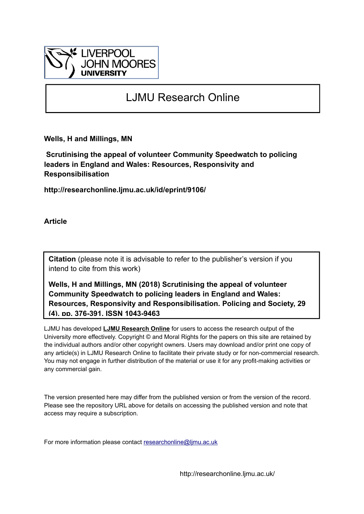

# LJMU Research Online

**Wells, H and Millings, MN**

 **Scrutinising the appeal of volunteer Community Speedwatch to policing leaders in England and Wales: Resources, Responsivity and Responsibilisation**

**http://researchonline.ljmu.ac.uk/id/eprint/9106/**

**Article**

**Citation** (please note it is advisable to refer to the publisher's version if you intend to cite from this work)

**Wells, H and Millings, MN (2018) Scrutinising the appeal of volunteer Community Speedwatch to policing leaders in England and Wales: Resources, Responsivity and Responsibilisation. Policing and Society, 29 (4). pp. 376-391. ISSN 1043-9463** 

LJMU has developed **[LJMU Research Online](http://researchonline.ljmu.ac.uk/)** for users to access the research output of the University more effectively. Copyright © and Moral Rights for the papers on this site are retained by the individual authors and/or other copyright owners. Users may download and/or print one copy of any article(s) in LJMU Research Online to facilitate their private study or for non-commercial research. You may not engage in further distribution of the material or use it for any profit-making activities or any commercial gain.

The version presented here may differ from the published version or from the version of the record. Please see the repository URL above for details on accessing the published version and note that access may require a subscription.

For more information please contact researchonline@limu.ac.uk

http://researchonline.ljmu.ac.uk/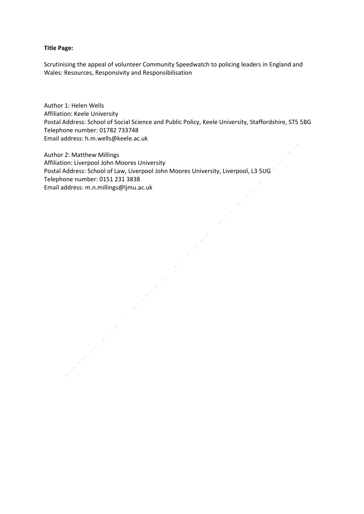## **Title Page:**

Scrutinising the appeal of volunteer Community Speedwatch to policing leaders in England and Wales: Resources, Responsivity and Responsibilisation

Author 1: Helen Wells Affiliation: Keele University Postal Address: School of Social Science and Public Policy, Keele University, Staffordshire, ST5 5BG Telephone number: 01782 733748 Email address: h.m.wells@keele.ac.uk

Author 2: Matthew Millings Affiliation: Liverpool John Moores University Postal Address: School of Law, Liverpool John Moores University, Liverpool, L3 5UG Telephone number: 0151 231 3838 Email address: m.n.millings@ljmu.ac.uk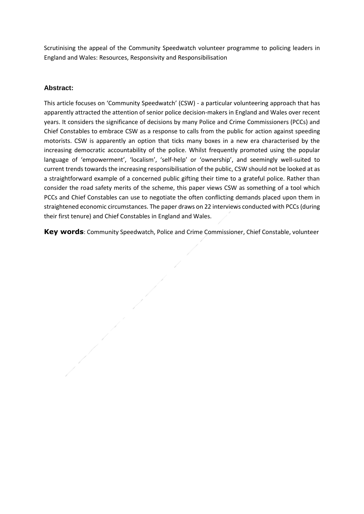Scrutinising the appeal of the Community Speedwatch volunteer programme to policing leaders in England and Wales: Resources, Responsivity and Responsibilisation

# **Abstract:**

This article focuses on 'Community Speedwatch' (CSW) - a particular volunteering approach that has apparently attracted the attention of senior police decision-makers in England and Wales over recent years. It considers the significance of decisions by many Police and Crime Commissioners (PCCs) and Chief Constables to embrace CSW as a response to calls from the public for action against speeding motorists. CSW is apparently an option that ticks many boxes in a new era characterised by the increasing democratic accountability of the police. Whilst frequently promoted using the popular language of 'empowerment', 'localism', 'self-help' or 'ownership', and seemingly well-suited to current trends towards the increasing responsibilisation of the public, CSW should not be looked at as a straightforward example of a concerned public gifting their time to a grateful police. Rather than consider the road safety merits of the scheme, this paper views CSW as something of a tool which PCCs and Chief Constables can use to negotiate the often conflicting demands placed upon them in straightened economic circumstances. The paper draws on 22 interviews conducted with PCCs (during their first tenure) and Chief Constables in England and Wales.

**Key words**: Community Speedwatch, Police and Crime Commissioner, Chief Constable, volunteer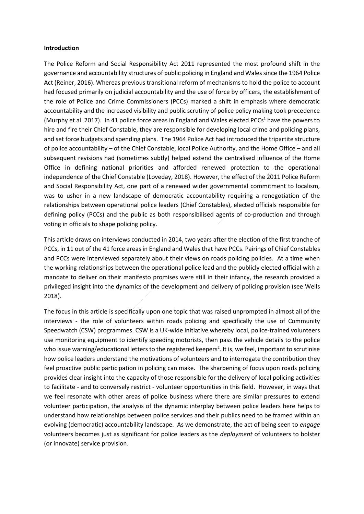#### **Introduction**

The Police Reform and Social Responsibility Act 2011 represented the most profound shift in the governance and accountability structures of public policing in England and Wales since the 1964 Police Act (Reiner, 2016). Whereas previous transitional reform of mechanisms to hold the police to account had focused primarily on judicial accountability and the use of force by officers, the establishment of the role of Police and Crime Commissioners (PCCs) marked a shift in emphasis where democratic accountability and the increased visibility and public scrutiny of police policy making took precedence (Murphy et al. 2017). In 41 police force areas in England and Wales elected PCCs<sup>1</sup> have the powers to hire and fire their Chief Constable, they are responsible for developing local crime and policing plans, and set force budgets and spending plans. The 1964 Police Act had introduced the tripartite structure of police accountability – of the Chief Constable, local Police Authority, and the Home Office – and all subsequent revisions had (sometimes subtly) helped extend the centralised influence of the Home Office in defining national priorities and afforded renewed protection to the operational independence of the Chief Constable (Loveday, 2018). However, the effect of the 2011 Police Reform and Social Responsibility Act, one part of a renewed wider governmental commitment to localism, was to usher in a new landscape of democratic accountability requiring a renegotiation of the relationships between operational police leaders (Chief Constables), elected officials responsible for defining policy (PCCs) and the public as both responsibilised agents of co-production and through voting in officials to shape policing policy.

This article draws on interviews conducted in 2014, two years after the election of the first tranche of PCCs, in 11 out of the 41 force areas in England and Wales that have PCCs. Pairings of Chief Constables and PCCs were interviewed separately about their views on roads policing policies. At a time when the working relationships between the operational police lead and the publicly elected official with a mandate to deliver on their manifesto promises were still in their infancy, the research provided a privileged insight into the dynamics of the development and delivery of policing provision (see Wells 2018).

The focus in this article is specifically upon one topic that was raised unprompted in almost all of the interviews - the role of volunteers within roads policing and specifically the use of Community Speedwatch (CSW) programmes. CSW is a UK-wide initiative whereby local, police-trained volunteers use monitoring equipment to identify speeding motorists, then pass the vehicle details to the police who issue warning/educational letters to the registered keepers<sup>2</sup>. It is, we feel, important to scrutinise how police leaders understand the motivations of volunteers and to interrogate the contribution they feel proactive public participation in policing can make. The sharpening of focus upon roads policing provides clear insight into the capacity of those responsible for the delivery of local policing activities to facilitate - and to conversely restrict - volunteer opportunities in this field. However, in ways that we feel resonate with other areas of police business where there are similar pressures to extend volunteer participation, the analysis of the dynamic interplay between police leaders here helps to understand how relationships between police services and their publics need to be framed within an evolving (democratic) accountability landscape. As we demonstrate, the act of being seen to *engage* volunteers becomes just as significant for police leaders as the *deployment* of volunteers to bolster (or innovate) service provision.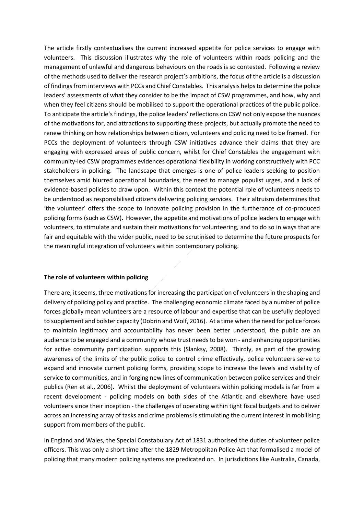The article firstly contextualises the current increased appetite for police services to engage with volunteers. This discussion illustrates why the role of volunteers within roads policing and the management of unlawful and dangerous behaviours on the roads is so contested. Following a review of the methods used to deliver the research project's ambitions, the focus of the article is a discussion of findings from interviews with PCCs and Chief Constables. This analysis helps to determine the police leaders' assessments of what they consider to be the impact of CSW programmes, and how, why and when they feel citizens should be mobilised to support the operational practices of the public police. To anticipate the article's findings, the police leaders' reflections on CSW not only expose the nuances of the motivations for, and attractions to supporting these projects, but actually promote the need to renew thinking on how relationships between citizen, volunteers and policing need to be framed. For PCCs the deployment of volunteers through CSW initiatives advance their claims that they are engaging with expressed areas of public concern, whilst for Chief Constables the engagement with community-led CSW programmes evidences operational flexibility in working constructively with PCC stakeholders in policing. The landscape that emerges is one of police leaders seeking to position themselves amid blurred operational boundaries, the need to manage populist urges, and a lack of evidence-based policies to draw upon. Within this context the potential role of volunteers needs to be understood as responsibilised citizens delivering policing services. Their altruism determines that 'the volunteer' offers the scope to innovate policing provision in the furtherance of co-produced policing forms (such as CSW). However, the appetite and motivations of police leaders to engage with volunteers, to stimulate and sustain their motivations for volunteering, and to do so in ways that are fair and equitable with the wider public, need to be scrutinised to determine the future prospects for the meaningful integration of volunteers within contemporary policing.

#### **The role of volunteers within policing**

There are, it seems, three motivations for increasing the participation of volunteers in the shaping and delivery of policing policy and practice. The challenging economic climate faced by a number of police forces globally mean volunteers are a resource of labour and expertise that can be usefully deployed to supplement and bolster capacity (Dobrin and Wolf, 2016). At a time when the need for police forces to maintain legitimacy and accountability has never been better understood, the public are an audience to be engaged and a community whose trust needs to be won - and enhancing opportunities for active community participation supports this (Slanksy, 2008). Thirdly, as part of the growing awareness of the limits of the public police to control crime effectively, police volunteers serve to expand and innovate current policing forms, providing scope to increase the levels and visibility of service to communities, and in forging new lines of communication between police services and their publics (Ren et al., 2006). Whilst the deployment of volunteers within policing models is far from a recent development - policing models on both sides of the Atlantic and elsewhere have used volunteers since their inception - the challenges of operating within tight fiscal budgets and to deliver across an increasing array of tasks and crime problems is stimulating the current interest in mobilising support from members of the public.

In England and Wales, the Special Constabulary Act of 1831 authorised the duties of volunteer police officers. This was only a short time after the 1829 Metropolitan Police Act that formalised a model of policing that many modern policing systems are predicated on. In jurisdictions like Australia, Canada,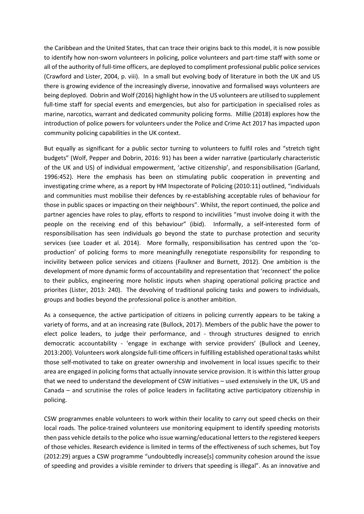the Caribbean and the United States, that can trace their origins back to this model, it is now possible to identify how non-sworn volunteers in policing, police volunteers and part-time staff with some or all of the authority of full-time officers, are deployed to compliment professional public police services (Crawford and Lister, 2004, p. viii). In a small but evolving body of literature in both the UK and US there is growing evidence of the increasingly diverse, innovative and formalised ways volunteers are being deployed. Dobrin and Wolf (2016) highlight how in the US volunteers are utilised to supplement full-time staff for special events and emergencies, but also for participation in specialised roles as marine, narcotics, warrant and dedicated community policing forms. Millie (2018) explores how the introduction of police powers for volunteers under the Police and Crime Act 2017 has impacted upon community policing capabilities in the UK context.

But equally as significant for a public sector turning to volunteers to fulfil roles and "stretch tight budgets" (Wolf, Pepper and Dobrin, 2016: 91) has been a wider narrative (particularly characteristic of the UK and US) of individual empowerment, 'active citizenship', and responsibilisation (Garland, 1996:452). Here the emphasis has been on stimulating public cooperation in preventing and investigating crime where, as a report by HM Inspectorate of Policing (2010:11) outlined, "individuals and communities must mobilise their defences by re-establishing acceptable rules of behaviour for those in public spaces or impacting on their neighbours". Whilst, the report continued, the police and partner agencies have roles to play, efforts to respond to incivilities "must involve doing it with the people on the receiving end of this behaviour" (ibid). Informally, a self-interested form of responsibilisation has seen individuals go beyond the state to purchase protection and security services (see Loader et al. 2014). More formally, responsibilisation has centred upon the 'coproduction' of policing forms to more meaningfully renegotiate responsibility for responding to incivility between police services and citizens (Faulkner and Burnett, 2012). One ambition is the development of more dynamic forms of accountability and representation that 'reconnect' the police to their publics, engineering more holistic inputs when shaping operational policing practice and priorites (Lister, 2013: 240). The devolving of traditional policing tasks and powers to individuals, groups and bodies beyond the professional police is another ambition.

As a consequence, the active participation of citizens in policing currently appears to be taking a variety of forms, and at an increasing rate (Bullock, 2017). Members of the public have the power to elect police leaders, to judge their performance, and - through structures designed to enrich democratic accountability - 'engage in exchange with service providers' (Bullock and Leeney, 2013:200). Volunteers work alongside full-time officers in fulfilling established operational tasks whilst those self-motivated to take on greater ownership and involvement in local issues specific to their area are engaged in policing forms that actually innovate service provision. It is within this latter group that we need to understand the development of CSW initiatives – used extensively in the UK, US and Canada – and scrutinise the roles of police leaders in facilitating active participatory citizenship in policing.

CSW programmes enable volunteers to work within their locality to carry out speed checks on their local roads. The police-trained volunteers use monitoring equipment to identify speeding motorists then pass vehicle details to the police who issue warning/educational letters to the registered keepers of those vehicles. Research evidence is limited in terms of the effectiveness of such schemes, but Toy (2012:29) argues a CSW programme "undoubtedly increase[s] community cohesion around the issue of speeding and provides a visible reminder to drivers that speeding is illegal". As an innovative and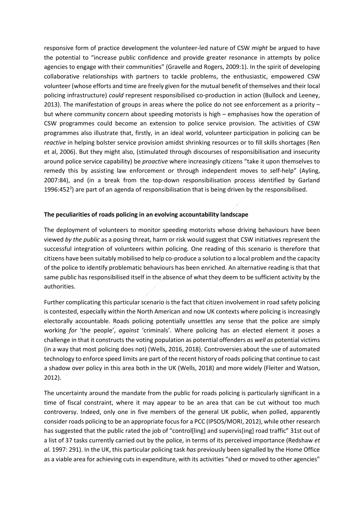responsive form of practice development the volunteer-led nature of CSW *might* be argued to have the potential to "increase public confidence and provide greater resonance in attempts by police agencies to engage with their communities" (Gravelle and Rogers, 2009:1). In the spirit of developing collaborative relationships with partners to tackle problems, the enthusiastic, empowered CSW volunteer (whose efforts and time are freely given for the mutual benefit of themselves and their local policing infrastructure) *could* represent responsibilised co-production in action (Bullock and Leeney, 2013). The manifestation of groups in areas where the police do not see enforcement as a priority  $$ but where community concern about speeding motorists is high – emphasises how the operation of CSW programmes could become an extension to police service provision. The activities of CSW programmes also illustrate that, firstly, in an ideal world, volunteer participation in policing can be *reactive* in helping bolster service provision amidst shrinking resources or to fill skills shortages (Ren et al, 2006). But they might also, (stimulated through discourses of responsibilisation and insecurity around police service capability) be *proactive* where increasingly citizens "take it upon themselves to remedy this by assisting law enforcement or through independent moves to self-help" (Ayling, 2007:84), and (in a break from the top-down responsibilisation process identified by Garland 1996:452<sup>3</sup>) are part of an agenda of responsibilisation that is being driven by the responsibilised.

# **The peculiarities of roads policing in an evolving accountability landscape**

The deployment of volunteers to monitor speeding motorists whose driving behaviours have been viewed *by the public* as a posing threat, harm or risk would suggest that CSW initiatives represent the successful integration of volunteers within policing. One reading of this scenario is therefore that citizens have been suitably mobilised to help co-produce a solution to a local problem and the capacity of the police to identify problematic behaviours has been enriched. An alternative reading is that that same public has responsibilised itself in the absence of what they deem to be sufficient activity by the authorities.

Further complicating this particular scenario is the fact that citizen involvement in road safety policing is contested, especially within the North American and now UK contexts where policing is increasingly electorally accountable. Roads policing potentially unsettles any sense that the police are simply working *for* 'the people', *against* 'criminals'. Where policing has an elected element it poses a challenge in that it constructs the voting population as potential offenders *as well as* potential victims (in a way that most policing does not) (Wells, 2016, 2018). Controversies about the use of automated technology to enforce speed limits are part of the recent history of roads policing that continue to cast a shadow over policy in this area both in the UK (Wells, 2018) and more widely (Fleiter and Watson, 2012).

The uncertainty around the mandate from the public for roads policing is particularly significant in a time of fiscal constraint, where it may appear to be an area that can be cut without too much controversy. Indeed, only one in five members of the general UK public, when polled, apparently consider roads policing to be an appropriate focus for a PCC (IPSOS/MORI, 2012), while other research has suggested that the public rated the job of "control[ling] and supervis[ing] road traffic" 31st out of a list of 37 tasks currently carried out by the police, in terms of its perceived importance (Redshaw *et al.* 1997: 291). In the UK, this particular policing task *has* previously been signalled by the Home Office as a viable area for achieving cuts in expenditure, with its activities "shed or moved to other agencies"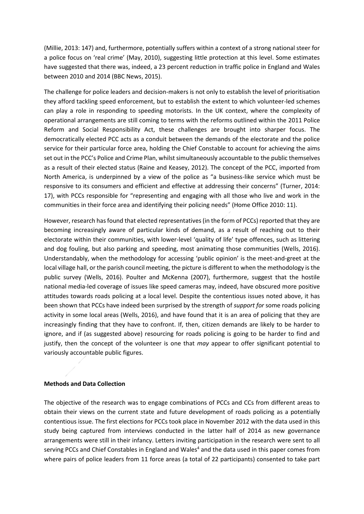(Millie, 2013: 147) and, furthermore, potentially suffers within a context of a strong national steer for a police focus on 'real crime' (May, 2010), suggesting little protection at this level. Some estimates have suggested that there was, indeed, a 23 percent reduction in traffic police in England and Wales between 2010 and 2014 (BBC News, 2015).

The challenge for police leaders and decision-makers is not only to establish the level of prioritisation they afford tackling speed enforcement, but to establish the extent to which volunteer-led schemes can play a role in responding to speeding motorists. In the UK context, where the complexity of operational arrangements are still coming to terms with the reforms outlined within the 2011 Police Reform and Social Responsibility Act, these challenges are brought into sharper focus. The democratically elected PCC acts as a conduit between the demands of the electorate and the police service for their particular force area, holding the Chief Constable to account for achieving the aims set out in the PCC's Police and Crime Plan, whilst simultaneously accountable to the public themselves as a result of their elected status (Raine and Keasey, 2012). The concept of the PCC, imported from North America, is underpinned by a view of the police as "a business-like service which must be responsive to its consumers and efficient and effective at addressing their concerns" (Turner, 2014: 17), with PCCs responsible for "representing and engaging with all those who live and work in the communities in their force area and identifying their policing needs" (Home Office 2010: 11).

However, research has found that elected representatives (in the form of PCCs) reported that they are becoming increasingly aware of particular kinds of demand, as a result of reaching out to their electorate within their communities, with lower-level 'quality of life' type offences, such as littering and dog fouling, but also parking and speeding, most animating those communities (Wells, 2016). Understandably, when the methodology for accessing 'public opinion' is the meet-and-greet at the local village hall, or the parish council meeting, the picture is different to when the methodology is the public survey (Wells, 2016). Poulter and McKenna (2007), furthermore, suggest that the hostile national media-led coverage of issues like speed cameras may, indeed, have obscured more positive attitudes towards roads policing at a local level. Despite the contentious issues noted above, it has been shown that PCCs have indeed been surprised by the strength of *support for* some roads policing activity in some local areas (Wells, 2016), and have found that it is an area of policing that they are increasingly finding that they have to confront. If, then, citizen demands are likely to be harder to ignore, and if (as suggested above) resourcing for roads policing is going to be harder to find and justify, then the concept of the volunteer is one that *may* appear to offer significant potential to variously accountable public figures.

### **Methods and Data Collection**

The objective of the research was to engage combinations of PCCs and CCs from different areas to obtain their views on the current state and future development of roads policing as a potentially contentious issue. The first elections for PCCs took place in November 2012 with the data used in this study being captured from interviews conducted in the latter half of 2014 as new governance arrangements were still in their infancy. Letters inviting participation in the research were sent to all serving PCCs and Chief Constables in England and Wales<sup>4</sup> and the data used in this paper comes from where pairs of police leaders from 11 force areas (a total of 22 participants) consented to take part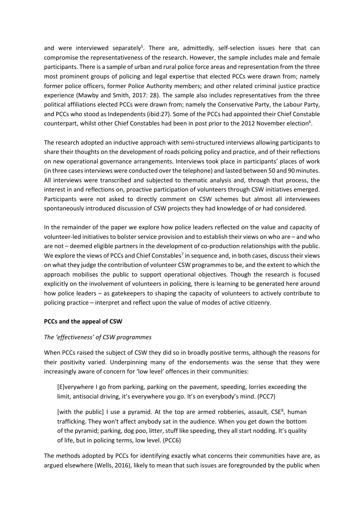and were interviewed separately<sup>5</sup>. There are, admittedly, self-selection issues here that can compromise the representativeness of the research. However, the sample includes male and female participants. There is a sample of urban and rural police force areas and representation from the three most prominent groups of policing and legal expertise that elected PCCs were drawn from; namely former police officers, former Police Authority members; and other related criminal justice practice experience (Mawby and Smith, 2017: 28). The sample also includes representatives from the three political affiliations elected PCCs were drawn from; namely the Conservative Party, the Labour Party, and PCCs who stood as Independents (ibid:27). Some of the PCCs had appointed their Chief Constable counterpart, whilst other Chief Constables had been in post prior to the 2012 November election<sup>6</sup>.

The research adopted an inductive approach with semi-structured interviews allowing participants to share their thoughts on the development of roads policing policy and practice, and of their reflections on new operational governance arrangements. Interviews took place in participants' places of work (in three cases interviews were conducted over the telephone) and lasted between 50 and 90 minutes. All interviews were transcribed and subjected to thematic analysis and, through that process, the interest in and reflections on, proactive participation of volunteers through CSW initiatives emerged. Participants were not asked to directly comment on CSW schemes but almost all interviewees spontaneously introduced discussion of CSW projects they had knowledge of or had considered.

In the remainder of the paper we explore how police leaders reflected on the value and capacity of volunteer-led initiatives to bolster service provision and to establish their views on who are – and who are not – deemed eligible partners in the development of co-production relationships with the public. We explore the views of PCCs and Chief Constables<sup>7</sup> in sequence and, in both cases, discuss their views on what they judge the contribution of volunteer CSW programmes to be, and the extent to which the approach mobilises the public to support operational objectives. Though the research is focused explicitly on the involvement of volunteers in policing, there is learning to be generated here around how police leaders – as gatekeepers to shaping the capacity of volunteers to actively contribute to policing practice – interpret and reflect upon the value of modes of active citizenry.

# **PCCs and the appeal of CSW**

# *The 'effectiveness' of CSW programmes*

When PCCs raised the subject of CSW they did so in broadly positive terms, although the reasons for their positivity varied. Underpinning many of the endorsements was the sense that they were increasingly aware of concern for 'low level' offences in their communities:

[E]verywhere I go from parking, parking on the pavement, speeding, lorries exceeding the limit, antisocial driving, it's everywhere you go. It's on everybody's mind. (PCC7)

[with the public] I use a pyramid. At the top are armed robberies, assault,  $CSE<sup>8</sup>$ , human trafficking. They won't affect anybody sat in the audience. When you get down the bottom of the pyramid; parking, dog poo, litter, stuff like speeding, they all start nodding. It's quality of life, but in policing terms, low level. (PCC6)

The methods adopted by PCCs for identifying exactly what concerns their communities have are, as argued elsewhere (Wells, 2016), likely to mean that such issues are foregrounded by the public when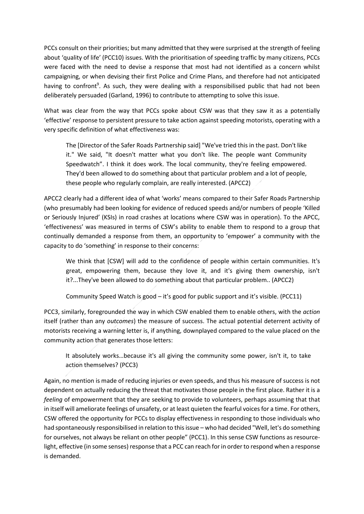PCCs consult on their priorities; but many admitted that they were surprised at the strength of feeling about 'quality of life' (PCC10) issues. With the prioritisation of speeding traffic by many citizens, PCCs were faced with the need to devise a response that most had not identified as a concern whilst campaigning, or when devising their first Police and Crime Plans, and therefore had not anticipated having to confront<sup>9</sup>. As such, they were dealing with a responsibilised public that had not been deliberately persuaded (Garland, 1996) to contribute to attempting to solve this issue.

What was clear from the way that PCCs spoke about CSW was that they saw it as a potentially 'effective' response to persistent pressure to take action against speeding motorists, operating with a very specific definition of what effectiveness was:

The [Director of the Safer Roads Partnership said] "We've tried this in the past. Don't like it." We said, "It doesn't matter what you don't like. The people want Community Speedwatch". I think it does work. The local community, they're feeling empowered. They'd been allowed to do something about that particular problem and a lot of people, these people who regularly complain, are really interested. (APCC2)

APCC2 clearly had a different idea of what 'works' means compared to their Safer Roads Partnership (who presumably had been looking for evidence of reduced speeds and/or numbers of people 'Killed or Seriously Injured' (KSIs) in road crashes at locations where CSW was in operation). To the APCC, 'effectiveness' was measured in terms of CSW's ability to enable them to respond to a group that continually demanded a response from them, an opportunity to 'empower' a community with the capacity to do 'something' in response to their concerns:

We think that [CSW] will add to the confidence of people within certain communities. It's great, empowering them, because they love it, and it's giving them ownership, isn't it?...They've been allowed to do something about that particular problem.. (APCC2)

Community Speed Watch is good – it's good for public support and it's visible. (PCC11)

PCC3, similarly, foregrounded the way in which CSW enabled them to enable others, with the *action*  itself (rather than any *outcomes*) the measure of success. The actual potential deterrent activity of motorists receiving a warning letter is, if anything, downplayed compared to the value placed on the community action that generates those letters:

It absolutely works…because it's all giving the community some power, isn't it, to take action themselves? (PCC3)

Again, no mention is made of reducing injuries or even speeds, and thus his measure of success is not dependent on actually reducing the threat that motivates those people in the first place. Rather it is a *feeling* of empowerment that they are seeking to provide to volunteers, perhaps assuming that that in itself will ameliorate feelings of unsafety, or at least quieten the fearful voices for a time. For others, CSW offered the opportunity for PCCs to display effectiveness in responding to those individuals who had spontaneously responsibilised in relation to this issue – who had decided "Well, let's do something for ourselves, not always be reliant on other people" (PCC1). In this sense CSW functions as resourcelight, effective (in some senses) response that a PCC can reach for in order to respond when a response is demanded.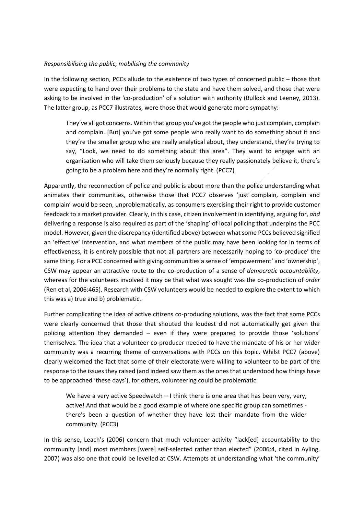# *Responsibilising the public, mobilising the community*

In the following section, PCCs allude to the existence of two types of concerned public – those that were expecting to hand over their problems to the state and have them solved, and those that were asking to be involved in the 'co-production' of a solution with authority (Bullock and Leeney, 2013). The latter group, as PCC7 illustrates, were those that would generate more sympathy:

They've all got concerns. Within that group you've got the people who just complain, complain and complain. [But] you've got some people who really want to do something about it and they're the smaller group who are really analytical about, they understand, they're trying to say, "Look, we need to do something about this area". They want to engage with an organisation who will take them seriously because they really passionately believe it, there's going to be a problem here and they're normally right. (PCC7)

Apparently, the reconnection of police and public is about more than the police understanding what animates their communities, otherwise those that PCC7 observes 'just complain, complain and complain' would be seen, unproblematically, as consumers exercising their right to provide customer feedback to a market provider. Clearly, in this case, citizen involvement in identifying, arguing for, *and* delivering a response is also required as part of the 'shaping' of local policing that underpins the PCC model. However, given the discrepancy (identified above) between what some PCCs believed signified an 'effective' intervention, and what members of the public may have been looking for in terms of effectiveness, it is entirely possible that not all partners are necessarily hoping to 'co-produce' the same thing. For a PCC concerned with giving communities a sense of 'empowerment' and 'ownership', CSW may appear an attractive route to the co-production of a sense of *democratic accountability*, whereas for the volunteers involved it may be that what was sought was the co-production of *order*  (Ren et al, 2006:465). Research with CSW volunteers would be needed to explore the extent to which this was a) true and b) problematic.

Further complicating the idea of active citizens co-producing solutions, was the fact that some PCCs were clearly concerned that those that shouted the loudest did not automatically get given the policing attention they demanded – even if they were prepared to provide those 'solutions' themselves. The idea that a volunteer co-producer needed to have the mandate of his or her wider community was a recurring theme of conversations with PCCs on this topic. Whilst PCC7 (above) clearly welcomed the fact that some of their electorate were willing to volunteer to be part of the response to the issues they raised (and indeed saw them as the ones that understood how things have to be approached 'these days'), for others, volunteering could be problematic:

We have a very active Speedwatch – I think there is one area that has been very, very, active! And that would be a good example of where one specific group can sometimes there's been a question of whether they have lost their mandate from the wider community. (PCC3)

In this sense, Leach's (2006) concern that much volunteer activity "lack[ed] accountability to the community [and] most members [were] self-selected rather than elected" (2006:4, cited in Ayling, 2007) was also one that could be levelled at CSW. Attempts at understanding what 'the community'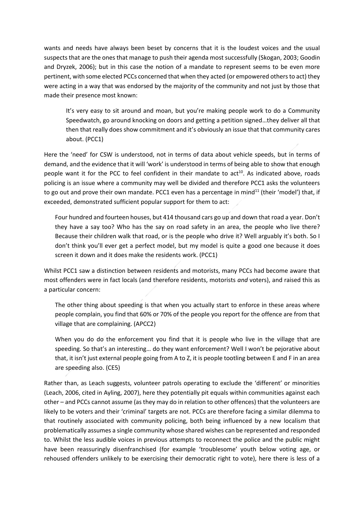wants and needs have always been beset by concerns that it is the loudest voices and the usual suspects that are the ones that manage to push their agenda most successfully (Skogan, 2003; Goodin and Dryzek, 2006); but in this case the notion of a mandate to represent seems to be even more pertinent, with some elected PCCs concerned that when they acted (or empowered others to act) they were acting in a way that was endorsed by the majority of the community and not just by those that made their presence most known:

It's very easy to sit around and moan, but you're making people work to do a Community Speedwatch, go around knocking on doors and getting a petition signed…they deliver all that then that really does show commitment and it's obviously an issue that that community cares about. (PCC1)

Here the 'need' for CSW is understood, not in terms of data about vehicle speeds, but in terms of demand, and the evidence that it will 'work' is understood in terms of being able to show that enough people want it for the PCC to feel confident in their mandate to act<sup>10</sup>. As indicated above, roads policing is an issue where a community may well be divided and therefore PCC1 asks the volunteers to go out and prove their own mandate. PCC1 even has a percentage in mind<sup>11</sup> (their 'model') that, if exceeded, demonstrated sufficient popular support for them to act:

Four hundred and fourteen houses, but 414 thousand cars go up and down that road a year. Don't they have a say too? Who has the say on road safety in an area, the people who live there? Because their children walk that road, or is the people who drive it? Well arguably it's both. So I don't think you'll ever get a perfect model, but my model is quite a good one because it does screen it down and it does make the residents work. (PCC1)

Whilst PCC1 saw a distinction between residents and motorists, many PCCs had become aware that most offenders were in fact locals (and therefore residents, motorists *and* voters), and raised this as a particular concern:

The other thing about speeding is that when you actually start to enforce in these areas where people complain, you find that 60% or 70% of the people you report for the offence are from that village that are complaining. (APCC2)

When you do do the enforcement you find that it is people who live in the village that are speeding. So that's an interesting… do they want enforcement? Well I won't be pejorative about that, it isn't just external people going from A to Z, it is people tootling between E and F in an area are speeding also. (CE5)

Rather than, as Leach suggests, volunteer patrols operating to exclude the 'different' or minorities (Leach, 2006, cited in Ayling, 2007), here they potentially pit equals within communities against each other – and PCCs cannot assume (as they may do in relation to other offences) that the volunteers are likely to be voters and their 'criminal' targets are not. PCCs are therefore facing a similar dilemma to that routinely associated with community policing, both being influenced by a new localism that problematically assumes a single community whose shared wishes can be represented and responded to. Whilst the less audible voices in previous attempts to reconnect the police and the public might have been reassuringly disenfranchised (for example 'troublesome' youth below voting age, or rehoused offenders unlikely to be exercising their democratic right to vote), here there is less of a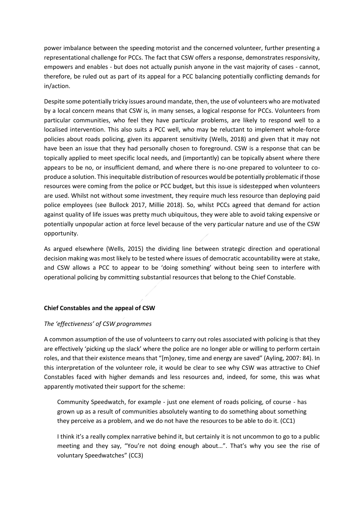power imbalance between the speeding motorist and the concerned volunteer, further presenting a representational challenge for PCCs. The fact that CSW offers a response, demonstrates responsivity, empowers and enables - but does not actually punish anyone in the vast majority of cases - cannot, therefore, be ruled out as part of its appeal for a PCC balancing potentially conflicting demands for in/action.

Despite some potentially tricky issues around mandate, then, the use of volunteers who are motivated by a local concern means that CSW is, in many senses, a logical response for PCCs. Volunteers from particular communities, who feel they have particular problems, are likely to respond well to a localised intervention. This also suits a PCC well, who may be reluctant to implement whole-force policies about roads policing, given its apparent sensitivity (Wells, 2018) and given that it may not have been an issue that they had personally chosen to foreground. CSW is a response that can be topically applied to meet specific local needs, and (importantly) can be topically absent where there appears to be no, or insufficient demand, and where there is no-one prepared to volunteer to coproduce a solution. This inequitable distribution of resources would be potentially problematic if those resources were coming from the police or PCC budget, but this issue is sidestepped when volunteers are used. Whilst not without some investment, they require much less resource than deploying paid police employees (see Bullock 2017, Millie 2018). So, whilst PCCs agreed that demand for action against quality of life issues was pretty much ubiquitous, they were able to avoid taking expensive or potentially unpopular action at force level because of the very particular nature and use of the CSW opportunity.

As argued elsewhere (Wells, 2015) the dividing line between strategic direction and operational decision making was most likely to be tested where issues of democratic accountability were at stake, and CSW allows a PCC to appear to be 'doing something' without being seen to interfere with operational policing by committing substantial resources that belong to the Chief Constable.

# **Chief Constables and the appeal of CSW**

# *The 'effectiveness' of CSW programmes*

A common assumption of the use of volunteers to carry out roles associated with policing is that they are effectively 'picking up the slack' where the police are no longer able or willing to perform certain roles, and that their existence means that "[m]oney, time and energy are saved" (Ayling, 2007: 84). In this interpretation of the volunteer role, it would be clear to see why CSW was attractive to Chief Constables faced with higher demands and less resources and, indeed, for some, this was what apparently motivated their support for the scheme:

Community Speedwatch, for example - just one element of roads policing, of course - has grown up as a result of communities absolutely wanting to do something about something they perceive as a problem, and we do not have the resources to be able to do it. (CC1)

I think it's a really complex narrative behind it, but certainly it is not uncommon to go to a public meeting and they say, "You're not doing enough about…". That's why you see the rise of voluntary Speedwatches" (CC3)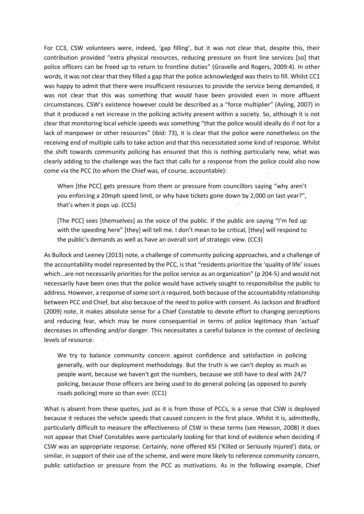For CC3, CSW volunteers were, indeed, 'gap filling', but it was not clear that, despite this, their contribution provided "extra physical resources, reducing pressure on front line services [so] that police officers can be freed up to return to frontline duties" (Gravelle and Rogers, 2009:4). In other words, it was not clear that they filled a gap that the police acknowledged was theirs to fill. Whilst CC1 was happy to admit that there were insufficient resources to provide the service being demanded, it was not clear that this was something that *would* have been provided even in more affluent circumstances. CSW's existence however could be described as a "force multiplier" (Ayling, 2007) in that it produced a net increase in the policing activity present within a society. So, although it is not clear that monitoring local vehicle speeds was something "that the police would ideally do if not for a lack of manpower or other resources" (ibid: 73), it is clear that the police were nonetheless on the receiving end of multiple calls to take action and that this necessitated some kind of response. Whilst the shift towards community policing has ensured that this is nothing particularly new, what was clearly adding to the challenge was the fact that calls for a response from the police could also now come via the PCC (to whom the Chief was, of course, accountable):

When [the PCC] gets pressure from them or pressure from councillors saying "why aren't you enforcing a 20mph speed limit, or why have tickets gone down by 2,000 on last year?", that's when it pops up. (CC5)

[The PCC] sees [themselves] as the voice of the public. If the public are saying "I'm fed up with the speeding here" [they] will tell me. I don't mean to be critical, [they] will respond to the public's demands as well as have an overall sort of strategic view. (CC3)

As Bullock and Leeney (2013) note, a challenge of community policing approaches, and a challenge of the accountability model represented by the PCC, is that "residents prioritize the 'quality of life' issues which…are not necessarily priorities for the police service as an organization" (p 204-5) and would not necessarily have been ones that the police would have actively sought to responsibilise the public to address. However, a response of some sort *is*required, both because of the accountability relationship between PCC and Chief, but also because of the need to police with consent. As Jackson and Bradford (2009) note, it makes absolute sense for a Chief Constable to devote effort to changing perceptions and reducing fear, which may be more consequential in terms of police legitimacy than 'actual' decreases in offending and/or danger. This necessitates a careful balance in the context of declining levels of resource:

We try to balance community concern against confidence and satisfaction in policing generally, with our deployment methodology. But the truth is we can't deploy as much as people want, because we haven't got the numbers, because we still have to deal with 24/7 policing, because those officers are being used to do general policing (as opposed to purely roads policing) more so than ever. (CC1)

What is absent from these quotes, just as it is from those of PCCs, is a sense that CSW is deployed because it reduces the vehicle speeds that caused concern in the first place. Whilst it is, admittedly, particularly difficult to measure the effectiveness of CSW in these terms (see Hewson, 2008) it does not appear that Chief Constables were particularly looking for that kind of evidence when deciding if CSW was an appropriate response. Certainly, none offered KSI ('Killed or Seriously Injured') data, or similar, in support of their use of the scheme, and were more likely to reference community concern, public satisfaction or pressure from the PCC as motivations. As in the following example, Chief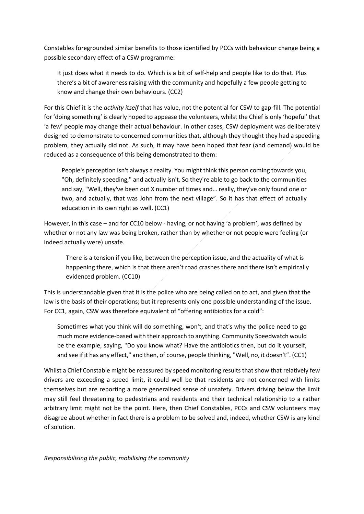Constables foregrounded similar benefits to those identified by PCCs with behaviour change being a possible secondary effect of a CSW programme:

It just does what it needs to do. Which is a bit of self-help and people like to do that. Plus there's a bit of awareness raising with the community and hopefully a few people getting to know and change their own behaviours. (CC2)

For this Chief it is the *activity itself* that has value, not the potential for CSW to gap-fill. The potential for 'doing something' is clearly hoped to appease the volunteers, whilst the Chief is only 'hopeful' that 'a few' people may change their actual behaviour. In other cases, CSW deployment was deliberately designed to demonstrate to concerned communities that, although they thought they had a speeding problem, they actually did not. As such, it may have been hoped that fear (and demand) would be reduced as a consequence of this being demonstrated to them:

People's perception isn't always a reality. You might think this person coming towards you, "Oh, definitely speeding," and actually isn't. So they're able to go back to the communities and say, "Well, they've been out X number of times and… really, they've only found one or two, and actually, that was John from the next village". So it has that effect of actually education in its own right as well. (CC1)

However, in this case – and for CC10 below - having, or not having 'a problem', was defined by whether or not any law was being broken, rather than by whether or not people were feeling (or indeed actually were) unsafe.

There is a tension if you like, between the perception issue, and the actuality of what is happening there, which is that there aren't road crashes there and there isn't empirically evidenced problem. (CC10)

This is understandable given that it is the police who are being called on to act, and given that the law is the basis of their operations; but it represents only one possible understanding of the issue. For CC1, again, CSW was therefore equivalent of "offering antibiotics for a cold":

Sometimes what you think will do something, won't, and that's why the police need to go much more evidence-based with their approach to anything. Community Speedwatch would be the example, saying, "Do you know what? Have the antibiotics then, but do it yourself, and see if it has any effect," and then, of course, people thinking, "Well, no, it doesn't". (CC1)

Whilst a Chief Constable might be reassured by speed monitoring results that show that relatively few drivers are exceeding a speed limit, it could well be that residents are not concerned with limits themselves but are reporting a more generalised sense of unsafety. Drivers driving below the limit may still feel threatening to pedestrians and residents and their technical relationship to a rather arbitrary limit might not be the point. Here, then Chief Constables, PCCs and CSW volunteers may disagree about whether in fact there is a problem to be solved and, indeed, whether CSW is any kind of solution.

*Responsibilising the public, mobilising the community*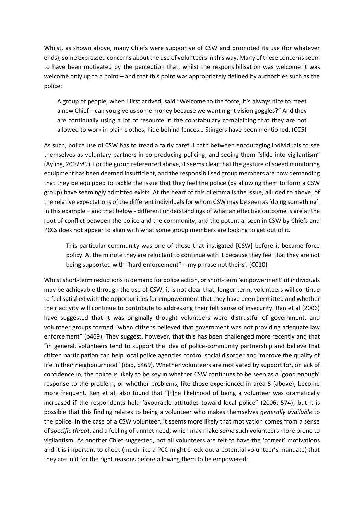Whilst, as shown above, many Chiefs were supportive of CSW and promoted its use (for whatever ends), some expressed concerns about the use of volunteers in this way. Many of these concerns seem to have been motivated by the perception that, whilst the responsibilisation was welcome it was welcome only up to a point – and that this point was appropriately defined by authorities such as the police:

A group of people, when I first arrived, said "Welcome to the force, it's always nice to meet a new Chief – can you give us some money because we want night vision goggles?" And they are continually using a lot of resource in the constabulary complaining that they are not allowed to work in plain clothes, hide behind fences… Stingers have been mentioned. (CC5)

As such, police use of CSW has to tread a fairly careful path between encouraging individuals to see themselves as voluntary partners in co-producing policing, and seeing them "slide into vigilantism" (Ayling, 2007:89). For the group referenced above, it seems clear that the gesture of speed monitoring equipment has been deemed insufficient, and the responsibilised group members are now demanding that they be equipped to tackle the issue that they feel the police (by allowing them to form a CSW group) have seemingly admitted exists. At the heart of this dilemma is the issue, alluded to above, of the relative expectations of the different individuals for whom CSW may be seen as 'doing something'. In this example – and that below - different understandings of what an effective outcome is are at the root of conflict between the police and the community, and the potential seen in CSW by Chiefs and PCCs does not appear to align with what some group members are looking to get out of it.

This particular community was one of those that instigated [CSW] before it became force policy. At the minute they are reluctant to continue with it because they feel that they are not being supported with "hard enforcement" – my phrase not theirs'. (CC10)

Whilst short-term reductions in demand for police action, or short-term 'empowerment' of individuals may be achievable through the use of CSW, it is not clear that, longer-term, volunteers will continue to feel satisfied with the opportunities for empowerment that they have been permitted and whether their activity will continue to contribute to addressing their felt sense of insecurity. Ren et al (2006) have suggested that it was originally thought volunteers were distrustful of government, and volunteer groups formed "when citizens believed that government was not providing adequate law enforcement" (p469). They suggest, however, that this has been challenged more recently and that "in general, volunteers tend to support the idea of police-community partnership and believe that citizen participation can help local police agencies control social disorder and improve the quality of life in their neighbourhood" (ibid, p469). Whether volunteers are motivated by support for, or lack of confidence in, the police is likely to be key in whether CSW continues to be seen as a 'good enough' response to the problem, or whether problems, like those experienced in area 5 (above), become more frequent. Ren et al. also found that "[t]he likelihood of being a volunteer was dramatically increased if the respondents held favourable attitudes toward local police" (2006: 574); but it is possible that this finding relates to being a volunteer who makes themselves *generally available* to the police. In the case of a CSW volunteer, it seems more likely that motivation comes from a sense of *specific threat*, and a feeling of unmet need, which may make *some* such volunteers more prone to vigilantism. As another Chief suggested, not all volunteers are felt to have the 'correct' motivations and it is important to check (much like a PCC might check out a potential volunteer's mandate) that they are in it for the right reasons before allowing them to be empowered: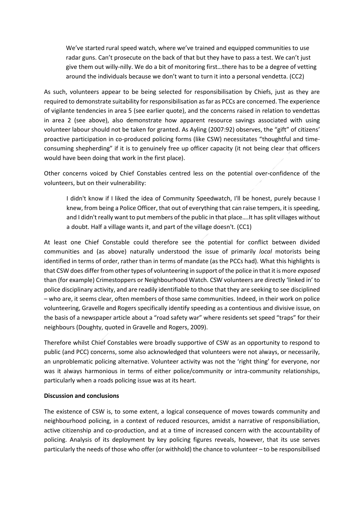We've started rural speed watch, where we've trained and equipped communities to use radar guns. Can't prosecute on the back of that but they have to pass a test. We can't just give them out willy-nilly. We do a bit of monitoring first…there has to be a degree of vetting around the individuals because we don't want to turn it into a personal vendetta. (CC2)

As such, volunteers appear to be being selected for responsibilisation by Chiefs, just as they are required to demonstrate suitability for responsibilisation as far as PCCs are concerned. The experience of vigilante tendencies in area 5 (see earlier quote), and the concerns raised in relation to vendettas in area 2 (see above), also demonstrate how apparent resource savings associated with using volunteer labour should not be taken for granted. As Ayling (2007:92) observes, the "gift" of citizens' proactive participation in co-produced policing forms (like CSW) necessitates "thoughtful and timeconsuming shepherding" if it is to genuinely free up officer capacity (it not being clear that officers would have been doing that work in the first place).

Other concerns voiced by Chief Constables centred less on the potential over-confidence of the volunteers, but on their vulnerability:

I didn't know if I liked the idea of Community Speedwatch, I'll be honest, purely because I knew, from being a Police Officer, that out of everything that can raise tempers, it is speeding, and I didn't really want to put members of the public in that place….It has split villages without a doubt. Half a village wants it, and part of the village doesn't. (CC1)

At least one Chief Constable could therefore see the potential for conflict between divided communities and (as above) naturally understood the issue of primarily *local* motorists being identified in terms of order, rather than in terms of mandate (as the PCCs had). What this highlights is that CSW does differ from other types of volunteering in support of the police in that it is more *exposed* than (for example) Crimestoppers or Neighbourhood Watch. CSW volunteers are directly 'linked in' to police disciplinary activity, and are readily identifiable to those that they are seeking to see disciplined – who are, it seems clear, often members of those same communities. Indeed, in their work on police volunteering, Gravelle and Rogers specifically identify speeding as a contentious and divisive issue, on the basis of a newspaper article about a "road safety war" where residents set speed "traps" for their neighbours (Doughty, quoted in Gravelle and Rogers, 2009).

Therefore whilst Chief Constables were broadly supportive of CSW as an opportunity to respond to public (and PCC) concerns, some also acknowledged that volunteers were not always, or necessarily, an unproblematic policing alternative. Volunteer activity was not the 'right thing' for everyone, nor was it always harmonious in terms of either police/community or intra-community relationships, particularly when a roads policing issue was at its heart.

# **Discussion and conclusions**

The existence of CSW is, to some extent, a logical consequence of moves towards community and neighbourhood policing, in a context of reduced resources, amidst a narrative of responsibiliation, active citizenship and co-production, and at a time of increased concern with the accountability of policing. Analysis of its deployment by key policing figures reveals, however, that its use serves particularly the needs of those who offer (or withhold) the chance to volunteer – to be responsibilised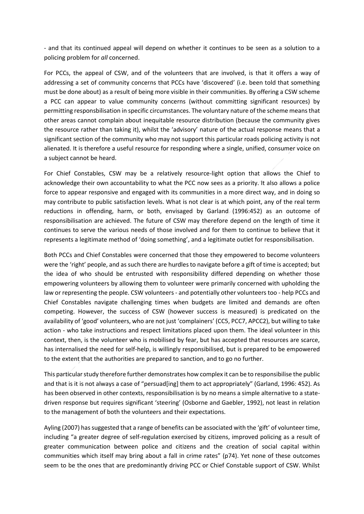- and that its continued appeal will depend on whether it continues to be seen as a solution to a policing problem for *all* concerned.

For PCCs, the appeal of CSW, and of the volunteers that are involved, is that it offers a way of addressing a set of community concerns that PCCs have 'discovered' (i.e. been told that something must be done about) as a result of being more visible in their communities. By offering a CSW scheme a PCC can appear to value community concerns (without committing significant resources) by permitting responsbilisation in specific circumstances. The voluntary nature of the scheme means that other areas cannot complain about inequitable resource distribution (because the community gives the resource rather than taking it), whilst the 'advisory' nature of the actual response means that a significant section of the community who may not support this particular roads policing activity is not alienated. It is therefore a useful resource for responding where a single, unified, consumer voice on a subject cannot be heard.

For Chief Constables, CSW may be a relatively resource-light option that allows the Chief to acknowledge their own accountability to what the PCC now sees as a priority. It also allows a police force to appear responsive and engaged with its communities in a more direct way, and in doing so may contribute to public satisfaction levels. What is not clear is at which point, any of the real term reductions in offending, harm, or both, envisaged by Garland (1996:452) as an outcome of responsibilisation are achieved. The future of CSW may therefore depend on the length of time it continues to serve the various needs of those involved and for them to continue to believe that it represents a legitimate method of 'doing something', and a legitimate outlet for responsibilisation.

Both PCCs and Chief Constables were concerned that those they empowered to become volunteers were the 'right' people, and as such there are hurdles to navigate before a gift of time is accepted; but the idea of who should be entrusted with responsibility differed depending on whether those empowering volunteers by allowing them to volunteer were primarily concerned with upholding the law or representing the people. CSW volunteers - and potentially other volunteers too - help PCCs and Chief Constables navigate challenging times when budgets are limited and demands are often competing. However, the success of CSW (however success is measured) is predicated on the availability of 'good' volunteers, who are not just 'complainers' (CC5, PCC7, APCC2), but willing to take action - who take instructions and respect limitations placed upon them. The ideal volunteer in this context, then, is the volunteer who is mobilised by fear, but has accepted that resources are scarce, has internalised the need for self-help, is willingly responsibilised, but is prepared to be empowered to the extent that the authorities are prepared to sanction, and to go no further.

This particular study therefore further demonstrates how complex it can be to responsibilise the public and that is it is not always a case of "persuad[ing] them to act appropriately" (Garland, 1996: 452). As has been observed in other contexts, responsibilisation is by no means a simple alternative to a statedriven response but requires significant 'steering' (Osborne and Gaebler, 1992), not least in relation to the management of both the volunteers and their expectations.

Ayling (2007) has suggested that a range of benefits can be associated with the 'gift' of volunteer time, including "a greater degree of self-regulation exercised by citizens, improved policing as a result of greater communication between police and citizens and the creation of social capital within communities which itself may bring about a fall in crime rates" (p74). Yet none of these outcomes seem to be the ones that are predominantly driving PCC or Chief Constable support of CSW. Whilst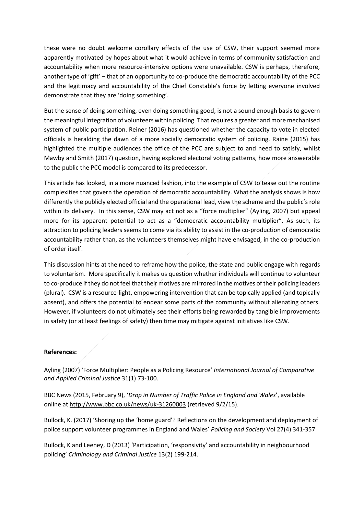these were no doubt welcome corollary effects of the use of CSW, their support seemed more apparently motivated by hopes about what it would achieve in terms of community satisfaction and accountability when more resource-intensive options were unavailable. CSW is perhaps, therefore, another type of 'gift' – that of an opportunity to co-produce the democratic accountability of the PCC and the legitimacy and accountability of the Chief Constable's force by letting everyone involved demonstrate that they are 'doing something'.

But the sense of doing something, even doing something good, is not a sound enough basis to govern the meaningful integration of volunteers within policing. That requires a greater and more mechanised system of public participation. Reiner (2016) has questioned whether the capacity to vote in elected officials is heralding the dawn of a more socially democratic system of policing. Raine (2015) has highlighted the multiple audiences the office of the PCC are subject to and need to satisfy, whilst Mawby and Smith (2017) question, having explored electoral voting patterns, how more answerable to the public the PCC model is compared to its predecessor.

This article has looked, in a more nuanced fashion, into the example of CSW to tease out the routine complexities that govern the operation of democratic accountability. What the analysis shows is how differently the publicly elected official and the operational lead, view the scheme and the public's role within its delivery. In this sense, CSW may act not as a "force multiplier" (Ayling, 2007) but appeal more for its apparent potential to act as a "democratic accountability multiplier". As such, its attraction to policing leaders seems to come via its ability to assist in the co-production of democratic accountability rather than, as the volunteers themselves might have envisaged, in the co-production of order itself.

This discussion hints at the need to reframe how the police, the state and public engage with regards to voluntarism. More specifically it makes us question whether individuals will continue to volunteer to co-produce if they do not feel that their motives are mirrored in the motives of their policing leaders (plural). CSW is a resource-light, empowering intervention that can be topically applied (and topically absent), and offers the potential to endear some parts of the community without alienating others. However, if volunteers do not ultimately see their efforts being rewarded by tangible improvements in safety (or at least feelings of safety) then time may mitigate against initiatives like CSW.

# **References:**

Ayling (2007) 'Force Multiplier: People as a Policing Resource' *[International Journal of Comparative](http://www.tandfonline.com/toc/rcac20/current)  [and Applied Criminal Justice](http://www.tandfonline.com/toc/rcac20/current)* 31(1) 73-100.

BBC News (2015, February 9), '*Drop in Number of Traffic Police in England and Wales*', available online at<http://www.bbc.co.uk/news/uk-31260003> (retrieved 9/2/15).

Bullock, K. (2017) 'Shoring up the 'home guard'? Reflections on the development and deployment of police support volunteer programmes in England and Wales' *Policing and Society* Vol 27(4) 341-357

Bullock, K and Leeney, D (2013) 'Participation, 'responsivity' and accountability in neighbourhood policing' *Criminology and Criminal Justice* 13(2) 199-214.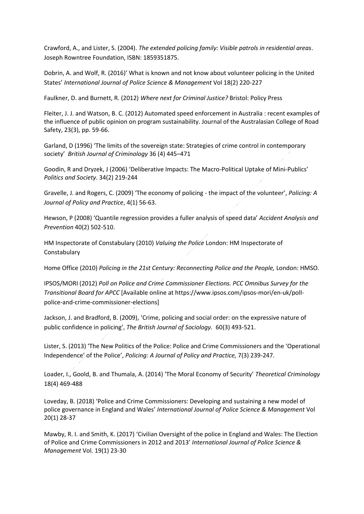Crawford, A., and Lister, S. (2004). *The extended policing family: Visible patrols in residential areas*. Joseph Rowntree Foundation, ISBN: 1859351875.

Dobrin, A. and Wolf, R. (2016)' What is known and not know about volunteer policing in the United States' *International Journal of Police Science & Management* Vol 18(2) 220-227

Faulkner, D. and Burnett, R. (2012) *Where next for Criminal Justice?* Bristol: Policy Press

Fleiter, J. J. and Watson, B. C. (2012) Automated speed enforcement in Australia : recent examples of the influence of public opinion on program sustainability. Journal of the Australasian College of Road Safety, 23(3), pp. 59-66.

Garland, D (1996) 'The limits of the sovereign state: Strategies of crime control in contemporary society' *British Journal of Criminology* 36 (4) 445–471

Goodin, R and Dryzek, J (2006) 'Deliberative Impacts: The Macro-Political Uptake of Mini-Publics' *Politics and Society*. 34(2) 219-244

Gravelle, J. and Rogers, C. (2009) 'The economy of policing - the impact of the volunteer', *Policing: A Journal of Policy and Practice*, 4(1) 56-63.

Hewson, P (2008) 'Quantile regression provides a fuller analysis of speed data' *Accident Analysis and Prevention* 40(2) 502-510.

HM Inspectorate of Constabulary (2010) *Valuing the Police* London: HM Inspectorate of Constabulary

Home Office (2010) *Policing in the 21st Century: Reconnecting Police and the People,* London: HMSO.

IPSOS/MORI (2012) *Poll on Police and Crime Commissioner Elections. PCC Omnibus Survey for the Transitional Board for APCC* [Available online at https://www.ipsos.com/ipsos-mori/en-uk/pollpolice-and-crime-commissioner-elections]

Jackson, J. and Bradford, B. (2009), 'Crime, policing and social order: on the expressive nature of public confidence in policing', *The British Journal of Sociology.* 60(3) 493-521.

Lister, S. (2013) 'The New Politics of the Police: Police and Crime Commissioners and the 'Operational Independence' of the Police', *Policing: A Journal of Policy and Practice,* 7(3) 239-247.

Loader, I., Goold, B. and Thumala, A. (2014) 'The Moral Economy of Security' *Theoretical Criminology* 18(4) 469-488

Loveday, B. (2018) 'Police and Crime Commissioners: Developing and sustaining a new model of police governance in England and Wales' *International Journal of Police Science & Management* Vol 20(1) 28-37

Mawby, R. I. and Smith, K. (2017) 'Civilian Oversight of the police in England and Wales: The Election of Police and Crime Commissioners in 2012 and 2013' *International Journal of Police Science & Management* Vol. 19(1) 23-30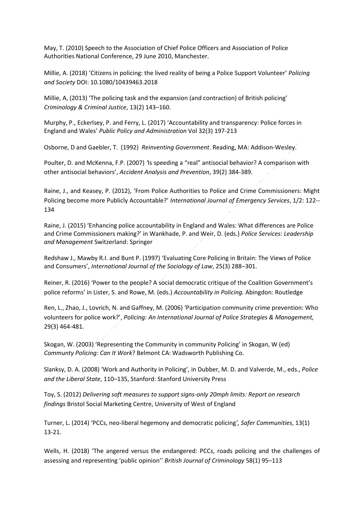May, T. (2010) Speech to the Association of Chief Police Officers and Association of Police Authorities National Conference, 29 June 2010, Manchester.

Millie, A. (2018) 'Citizens in policing: the lived reality of being a Police Support Volunteer' *Policing and Society* DOI: 10.1080/10439463.2018

Millie, A, (2013) 'The policing task and the expansion (and contraction) of British policing' *Criminology & Criminal Justice*, 13(2) 143–160.

Murphy, P., Eckerlsey, P. and Ferry, L. (2017) 'Accountability and transparency: Police forces in England and Wales' *Public Policy and Administration* Vol 32(3) 197-213

Osborne, D and Gaebler, T. (1992) *Reinventing Government*. Reading, MA: Addison-Wesley.

Poulter, D. and McKenna, F.P. (2007) *'*Is speeding a "real" antisocial behavior? A comparison with other antisocial behaviors', *Accident Analysis and Prevention*, 39(2) 384-389.

Raine, J., and Keasey, P. (2012), 'From Police Authorities to Police and Crime Commissioners: Might Policing become more Publicly Accountable?' *International Journal of Emergency Services*, 1/2: 122-- 134

Raine, J. (2015) 'Enhancing police accountability in England and Wales: What differences are Police and Crime Commissioners making?' in Wankhade, P. and Weir, D. (eds.) *Police Services: Leadership and Management* Switzerland: Springer

Redshaw J., Mawby R.I. and Bunt P. (1997) 'Evaluating Core Policing in Britain: The Views of Police and Consumers', *International Journal of the Sociology of Law*, 25(3) 288–301.

Reiner, R. (2016) 'Power to the people? A social democratic critique of the Coalition Government's police reforms' in Lister, S. and Rowe, M. (eds.) *Accountability in Policing.* Abingdon: Routledge

[Ren,](http://www.emeraldinsight.com/author/Ren%2C+Ling) L., Zhao, J., [Lovrich,](http://www.emeraldinsight.com/author/Lovrich%2C+Nicholas+P) N. and [Gaffney](http://www.emeraldinsight.com/author/Gaffney%2C+Michael+J), M. (2006) 'Participation community crime prevention: Who volunteers for police work?', *Policing: An International Journal of Police Strategies & Management,*  29(3) 464-481.

Skogan, W. (2003) 'Representing the Community in community Policing' in Skogan, W (ed) *Communty Policing: Can It Work*? Belmont CA: Wadsworth Publishing Co.

Slanksy, D. A. (2008) 'Work and Authority in Policing', in Dubber, M. D. and Valverde, M., eds., *Police and the Liberal State*, 110–135, Stanford: Stanford University Press

Toy, S. (2012) *Delivering soft measures to support signs-only 20mph limits: Report on research findings* Bristol Social Marketing Centre, University of West of England

Turner, L. (2014) '[PCCs, neo-liberal hegemony and democratic policing](http://www.emeraldinsight.com/doi/full/10.1108/SC-07-2013-0016)*', Safer Communities*, 13(1) 13-21.

Wells, H. (2018) 'The angered versus the endangered: PCCs, roads policing and the challenges of assessing and representing 'public opinion'' *British Journal of Criminology* 58(1) 95–113